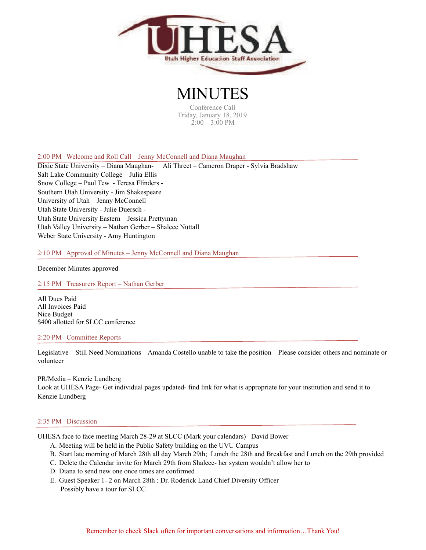

**MINUT** Conference Call Friday, January 18, 2019 2:00 – 3:00 PM

2:00 PM | Welcome and Roll Call – Jenny McConnell and Diana Maughan

Dixie State University – Diana Maughan- Ali Threet – Cameron Draper - Sylvia Bradshaw Salt Lake Community College – Julia Ellis Snow College – Paul Tew - Teresa Flinders - Southern Utah University - Jim Shakespeare University of Utah – Jenny McConnell Utah State University - Julie Duersch - Utah State University Eastern – Jessica Prettyman Utah Valley University – Nathan Gerber – Shalece Nuttall Weber State University - Amy Huntington

2:10 PM | Approval of Minutes – Jenny McConnell and Diana Maughan

December Minutes approved

2:15 PM | Treasurers Report – Nathan Gerber

All Dues Paid All Invoices Paid Nice Budget \$400 allotted for SLCC conference

## 2:20 PM | Committee Reports

Legislative – Still Need Nominations – Amanda Costello unable to take the position – Please consider others and nominate or volunteer

PR/Media – Kenzie Lundberg Look at UHESA Page- Get individual pages updated- find link for what is appropriate for your institution and send it to Kenzie Lundberg

## 2:35 PM | Discussion

UHESA face to face meeting March 28-29 at SLCC (Mark your calendars)– David Bower

- A. Meeting will be held in the Public Safety building on the UVU Campus
- B. Start late morning of March 28th all day March 29th; Lunch the 28th and Breakfast and Lunch on the 29th provided
- C. Delete the Calendar invite for March 29th from Shalece- her system wouldn't allow her to
- D. Diana to send new one once times are confirmed
- E. Guest Speaker 1- 2 on March 28th : Dr. Roderick Land Chief Diversity Officer Possibly have a tour for SLCC